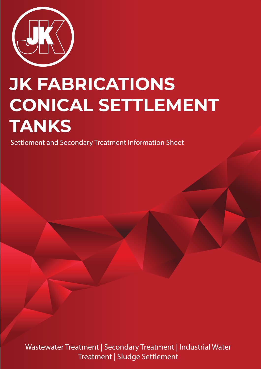

## **JK FABRICATIONS CONICAL SETTLEMENT TANKS**

Settlement and Secondary Treatment Information Sheet

Wastewater Treatment | Secondary Treatment | Industrial Water Treatment | Sludge Settlement